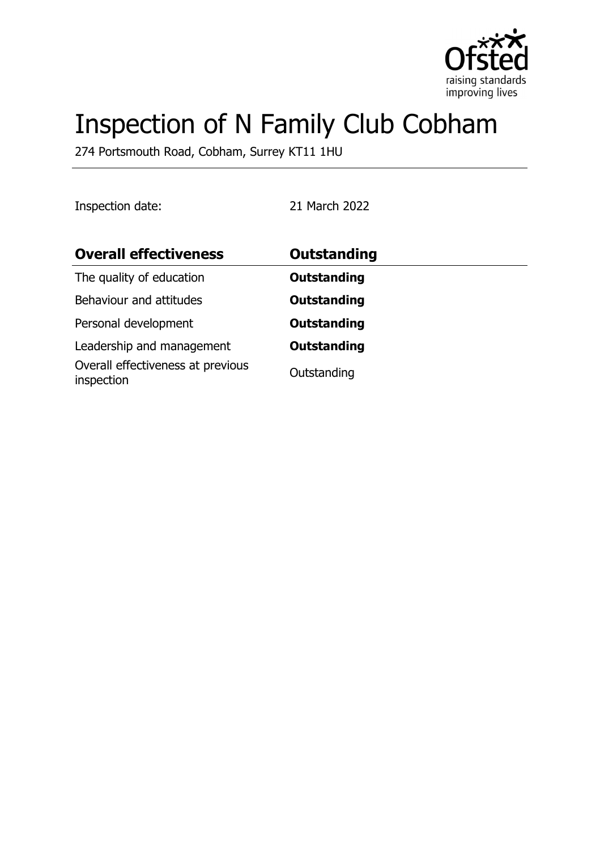

# Inspection of N Family Club Cobham

274 Portsmouth Road, Cobham, Surrey KT11 1HU

Inspection date: 21 March 2022

| <b>Overall effectiveness</b>                    | Outstanding        |
|-------------------------------------------------|--------------------|
| The quality of education                        | <b>Outstanding</b> |
| Behaviour and attitudes                         | <b>Outstanding</b> |
| Personal development                            | <b>Outstanding</b> |
| Leadership and management                       | <b>Outstanding</b> |
| Overall effectiveness at previous<br>inspection | Outstanding        |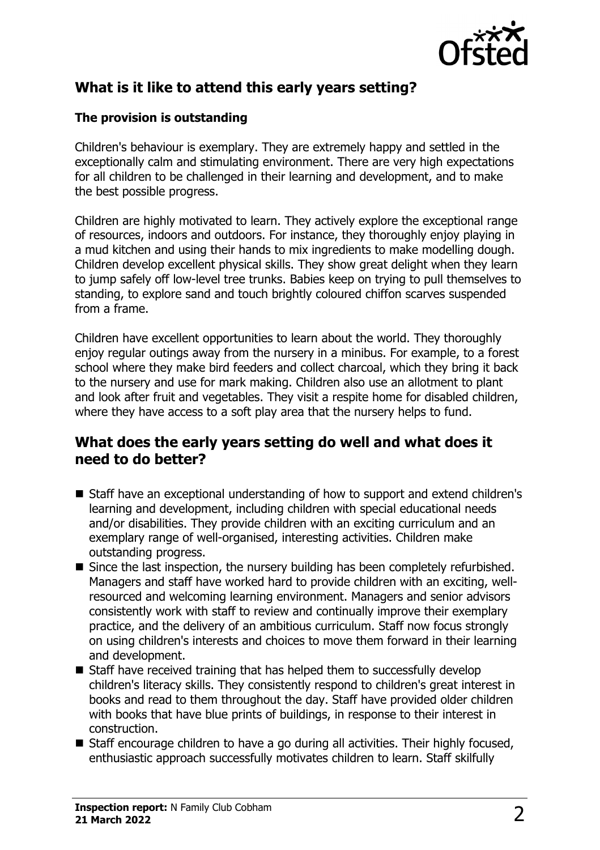

## **What is it like to attend this early years setting?**

#### **The provision is outstanding**

Children's behaviour is exemplary. They are extremely happy and settled in the exceptionally calm and stimulating environment. There are very high expectations for all children to be challenged in their learning and development, and to make the best possible progress.

Children are highly motivated to learn. They actively explore the exceptional range of resources, indoors and outdoors. For instance, they thoroughly enjoy playing in a mud kitchen and using their hands to mix ingredients to make modelling dough. Children develop excellent physical skills. They show great delight when they learn to jump safely off low-level tree trunks. Babies keep on trying to pull themselves to standing, to explore sand and touch brightly coloured chiffon scarves suspended from a frame.

Children have excellent opportunities to learn about the world. They thoroughly enjoy regular outings away from the nursery in a minibus. For example, to a forest school where they make bird feeders and collect charcoal, which they bring it back to the nursery and use for mark making. Children also use an allotment to plant and look after fruit and vegetables. They visit a respite home for disabled children, where they have access to a soft play area that the nursery helps to fund.

#### **What does the early years setting do well and what does it need to do better?**

- Staff have an exceptional understanding of how to support and extend children's learning and development, including children with special educational needs and/or disabilities. They provide children with an exciting curriculum and an exemplary range of well-organised, interesting activities. Children make outstanding progress.
- $\blacksquare$  Since the last inspection, the nursery building has been completely refurbished. Managers and staff have worked hard to provide children with an exciting, wellresourced and welcoming learning environment. Managers and senior advisors consistently work with staff to review and continually improve their exemplary practice, and the delivery of an ambitious curriculum. Staff now focus strongly on using children's interests and choices to move them forward in their learning and development.
- $\blacksquare$  Staff have received training that has helped them to successfully develop children's literacy skills. They consistently respond to children's great interest in books and read to them throughout the day. Staff have provided older children with books that have blue prints of buildings, in response to their interest in construction.
- $\blacksquare$  Staff encourage children to have a go during all activities. Their highly focused, enthusiastic approach successfully motivates children to learn. Staff skilfully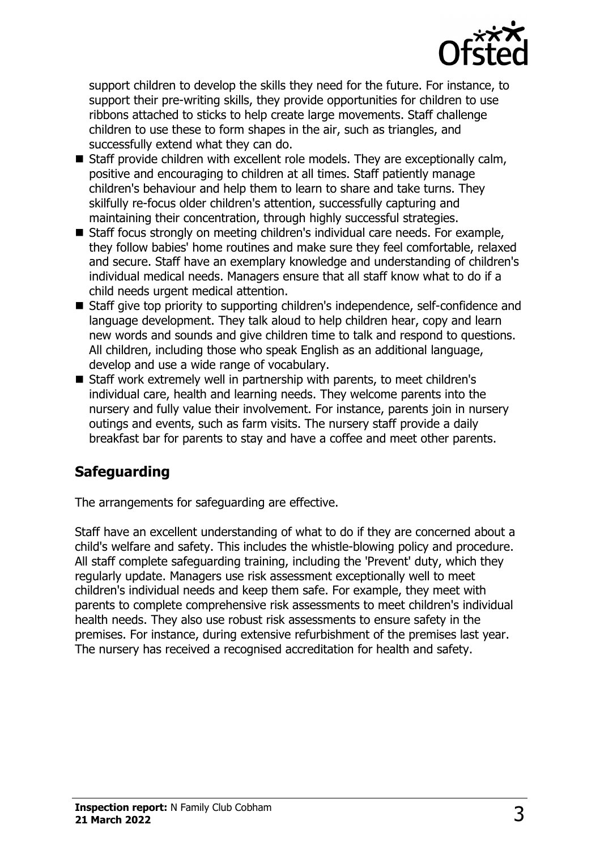

support children to develop the skills they need for the future. For instance, to support their pre-writing skills, they provide opportunities for children to use ribbons attached to sticks to help create large movements. Staff challenge children to use these to form shapes in the air, such as triangles, and successfully extend what they can do.

- $\blacksquare$  Staff provide children with excellent role models. They are exceptionally calm, positive and encouraging to children at all times. Staff patiently manage children's behaviour and help them to learn to share and take turns. They skilfully re-focus older children's attention, successfully capturing and maintaining their concentration, through highly successful strategies.
- Staff focus strongly on meeting children's individual care needs. For example, they follow babies' home routines and make sure they feel comfortable, relaxed and secure. Staff have an exemplary knowledge and understanding of children's individual medical needs. Managers ensure that all staff know what to do if a child needs urgent medical attention.
- Staff give top priority to supporting children's independence, self-confidence and language development. They talk aloud to help children hear, copy and learn new words and sounds and give children time to talk and respond to questions. All children, including those who speak English as an additional language, develop and use a wide range of vocabulary.
- Staff work extremely well in partnership with parents, to meet children's individual care, health and learning needs. They welcome parents into the nursery and fully value their involvement. For instance, parents join in nursery outings and events, such as farm visits. The nursery staff provide a daily breakfast bar for parents to stay and have a coffee and meet other parents.

## **Safeguarding**

The arrangements for safeguarding are effective.

Staff have an excellent understanding of what to do if they are concerned about a child's welfare and safety. This includes the whistle-blowing policy and procedure. All staff complete safeguarding training, including the 'Prevent' duty, which they regularly update. Managers use risk assessment exceptionally well to meet children's individual needs and keep them safe. For example, they meet with parents to complete comprehensive risk assessments to meet children's individual health needs. They also use robust risk assessments to ensure safety in the premises. For instance, during extensive refurbishment of the premises last year. The nursery has received a recognised accreditation for health and safety.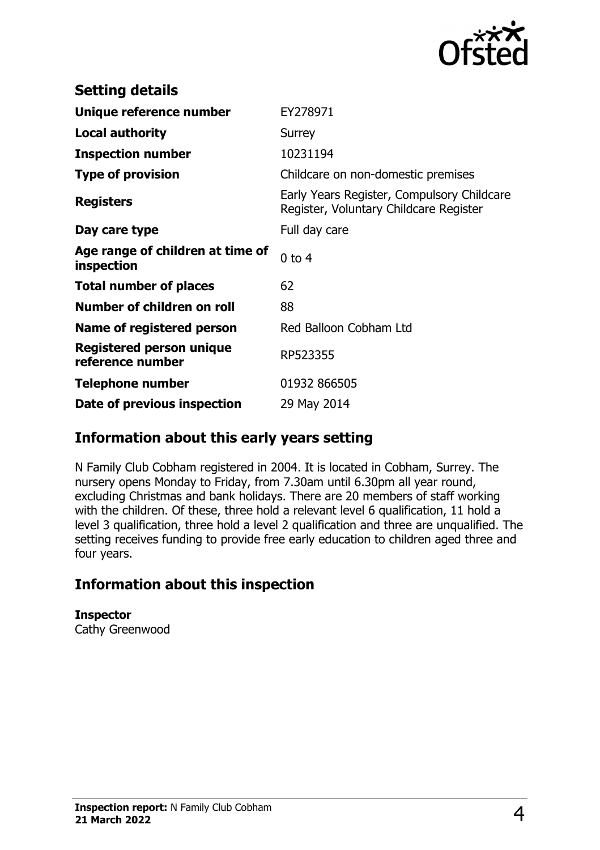

| <b>Setting details</b>                         |                                                                                      |
|------------------------------------------------|--------------------------------------------------------------------------------------|
| Unique reference number                        | EY278971                                                                             |
| <b>Local authority</b>                         | Surrey                                                                               |
| <b>Inspection number</b>                       | 10231194                                                                             |
| <b>Type of provision</b>                       | Childcare on non-domestic premises                                                   |
| <b>Registers</b>                               | Early Years Register, Compulsory Childcare<br>Register, Voluntary Childcare Register |
| Day care type                                  | Full day care                                                                        |
| Age range of children at time of<br>inspection | $0$ to $4$                                                                           |
| <b>Total number of places</b>                  | 62                                                                                   |
| Number of children on roll                     | 88                                                                                   |
| Name of registered person                      | Red Balloon Cobham Ltd                                                               |
| Registered person unique<br>reference number   | RP523355                                                                             |
| <b>Telephone number</b>                        | 01932 866505                                                                         |
| Date of previous inspection                    | 29 May 2014                                                                          |

### **Information about this early years setting**

N Family Club Cobham registered in 2004. It is located in Cobham, Surrey. The nursery opens Monday to Friday, from 7.30am until 6.30pm all year round, excluding Christmas and bank holidays. There are 20 members of staff working with the children. Of these, three hold a relevant level 6 qualification, 11 hold a level 3 qualification, three hold a level 2 qualification and three are unqualified. The setting receives funding to provide free early education to children aged three and four years.

## **Information about this inspection**

**Inspector** Cathy Greenwood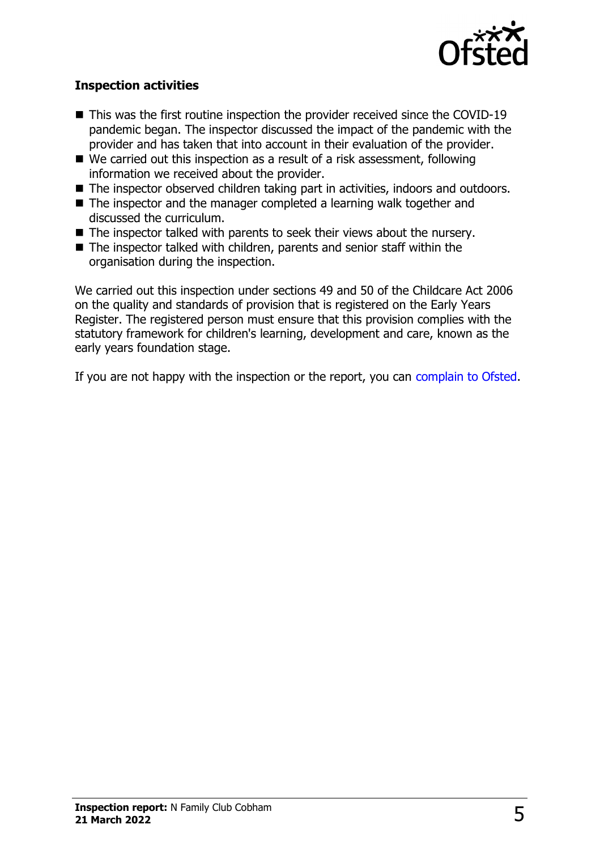

#### **Inspection activities**

- $\blacksquare$  This was the first routine inspection the provider received since the COVID-19 pandemic began. The inspector discussed the impact of the pandemic with the provider and has taken that into account in their evaluation of the provider.
- $\blacksquare$  We carried out this inspection as a result of a risk assessment, following information we received about the provider.
- The inspector observed children taking part in activities, indoors and outdoors.
- $\blacksquare$  The inspector and the manager completed a learning walk together and discussed the curriculum.
- $\blacksquare$  The inspector talked with parents to seek their views about the nursery.
- $\blacksquare$  The inspector talked with children, parents and senior staff within the organisation during the inspection.

We carried out this inspection under sections 49 and 50 of the Childcare Act 2006 on the quality and standards of provision that is registered on the Early Years Register. The registered person must ensure that this provision complies with the statutory framework for children's learning, development and care, known as the early years foundation stage.

If you are not happy with the inspection or the report, you can [complain to Ofsted](http://www.gov.uk/complain-ofsted-report).